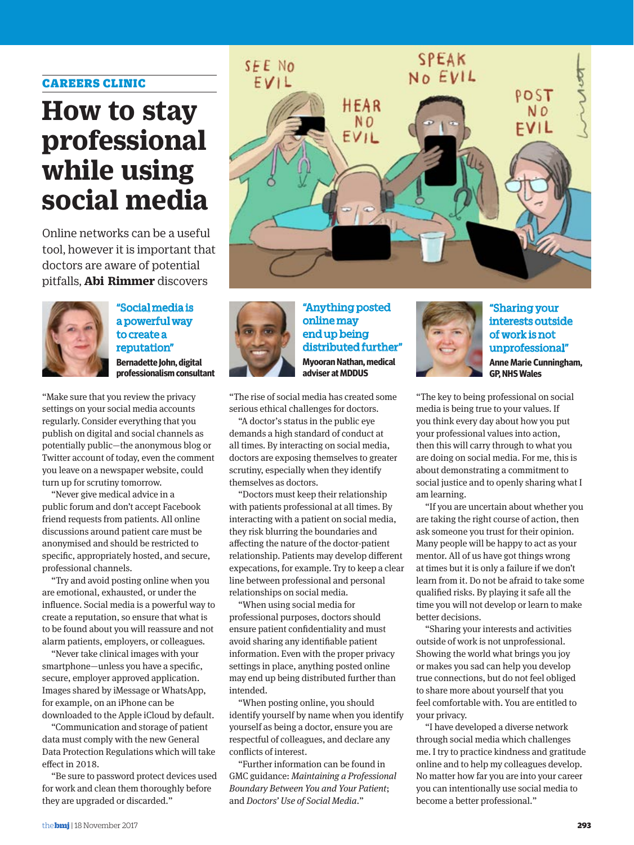#### CAREERS CLINIC

# **How to stay professional while using social media**

Online networks can be a useful tool, however it is important that doctors are aware of potential pitfalls, **Abi Rimmer** discovers



"Social media is a powerful way to create a reputation" **Bernadette John, digital professionalism consultant** 

"Make sure that you review the privacy settings on your social media accounts regularly. Consider everything that you publish on digital and social channels as potentially public—the anonymous blog or Twitter account of today, even the comment you leave on a newspaper website, could turn up for scrutiny tomorrow.

"Never give medical advice in a public forum and don't accept Facebook friend requests from patients. All online discussions around patient care must be anonymised and should be restricted to specific, appropriately hosted, and secure, professional channels.

"Try and avoid posting online when you are emotional, exhausted, or under the influence. Social media is a powerful way to create a reputation, so ensure that what is to be found about you will reassure and not alarm patients, employers, or colleagues.

"Never take clinical images with your smartphone—unless you have a specific, secure, employer approved application. Images shared by iMessage or WhatsApp, for example, on an iPhone can be downloaded to the Apple iCloud by default.

"Communication and storage of patient data must comply with the new General Data Protection Regulations which will take effect in 2018.

"Be sure to password protect devices used for work and clean them thoroughly before they are upgraded or discarded."





"Anything posted online may end up being distributed further" **Myooran Nathan, medical adviser at MDDUS** 

"The rise of social media has created some serious ethical challenges for doctors.

"A doctor's status in the public eye demands a high standard of conduct at all times. By interacting on social media, doctors are exposing themselves to greater scrutiny, especially when they identify themselves as doctors.

"Doctors must keep their relationship with patients professional at all times. By interacting with a patient on social media, they risk blurring the boundaries and affecting the nature of the doctor-patient relationship. Patients may develop different expecations, for example. Try to keep a clear line between professional and personal relationships on social media.

"When using social media for professional purposes, doctors should ensure patient confidentiality and must avoid sharing any identifiable patient information. Even with the proper privacy settings in place, anything posted online may end up being distributed further than intended.

"When posting online, you should identify yourself by name when you identify yourself as being a doctor, ensure you are respectful of colleagues, and declare any conflicts of interest.

"Further information can be found in GMC guidance: *Maintaining a Professional Boundary Between You and Your Patient*; and *Doctors' Use of Social Media*."



"Sharing your interests outside of work is not unprofessional" **Anne Marie Cunningham, GP, NHS Wales**

"The key to being professional on social media is being true to your values. If you think every day about how you put your professional values into action, then this will carry through to what you are doing on social media. For me, this is about demonstrating a commitment to social justice and to openly sharing what I am learning.

"If you are uncertain about whether you are taking the right course of action, then ask someone you trust for their opinion. Many people will be happy to act as your mentor. All of us have got things wrong at times but it is only a failure if we don't learn from it. Do not be afraid to take some qualified risks. By playing it safe all the time you will not develop or learn to make better decisions.

"Sharing your interests and activities outside of work is not unprofessional. Showing the world what brings you joy or makes you sad can help you develop true connections, but do not feel obliged to share more about yourself that you feel comfortable with. You are entitled to your privacy.

"I have developed a diverse network through social media which challenges me. I try to practice kindness and gratitude online and to help my colleagues develop. No matter how far you are into your career you can intentionally use social media to become a better professional."